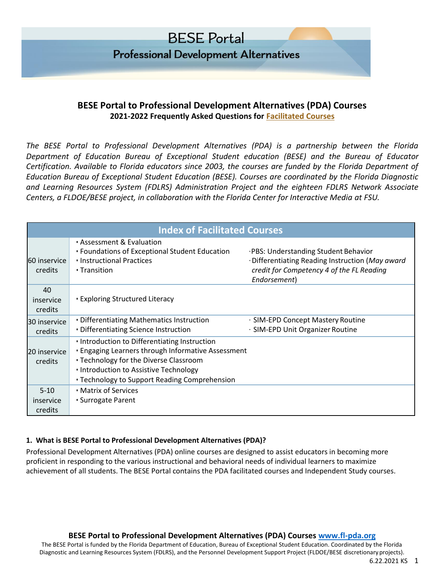

#### **BESE Portal to Professional Development Alternatives (PDA) Courses 2021-2022 Frequently Asked Questions for Facilitated Courses**

*The BESE Portal to Professional Development Alternatives (PDA) is a partnership between the Florida Department of Education Bureau of Exceptional Student education (BESE) and the Bureau of Educator Certification. Available to Florida educators since 2003, the courses are funded by the Florida Department of Education Bureau of Exceptional Student Education (BESE). Courses are coordinated by the Florida Diagnostic and Learning Resources System (FDLRS) Administration Project and the eighteen FDLRS Network Associate Centers, a FLDOE/BESE project, in collaboration with the Florida Center for Interactive Media at FSU.* 

| <b>Index of Facilitated Courses</b> |                                                                                                                                                                                                                                                 |                                                                                                                                                      |
|-------------------------------------|-------------------------------------------------------------------------------------------------------------------------------------------------------------------------------------------------------------------------------------------------|------------------------------------------------------------------------------------------------------------------------------------------------------|
| 60 inservice<br>credits             | • Assessment & Evaluation<br>• Foundations of Exceptional Student Education<br>. Instructional Practices<br>• Transition                                                                                                                        | ·PBS: Understanding Student Behavior<br>·Differentiating Reading Instruction (May award<br>credit for Competency 4 of the FL Reading<br>Endorsement) |
| 40<br>inservice<br>credits          | <b>Exploring Structured Literacy</b>                                                                                                                                                                                                            |                                                                                                                                                      |
| 30 inservice<br>credits             | • Differentiating Mathematics Instruction<br>• Differentiating Science Instruction                                                                                                                                                              | · SIM-EPD Concept Mastery Routine<br>· SIM-EPD Unit Organizer Routine                                                                                |
| 20 inservice<br>credits             | . Introduction to Differentiating Instruction<br><b>.</b> Engaging Learners through Informative Assessment<br>• Technology for the Diverse Classroom<br>. Introduction to Assistive Technology<br>• Technology to Support Reading Comprehension |                                                                                                                                                      |
| $5 - 10$<br>inservice<br>credits    | • Matrix of Services<br>• Surrogate Parent                                                                                                                                                                                                      |                                                                                                                                                      |

#### **1. What is BESE Portal to Professional Development Alternatives (PDA)?**

Professional Development Alternatives (PDA) online courses are designed to assist educators in becoming more proficient in responding to the various instructional and behavioral needs of individual learners to maximize achievement of all students. The BESE Portal contains the PDA facilitated courses and Independent Study courses.

#### **BESE Portal to Professional Development Alternatives (PDA) Courses [www.fl-pda.org](http://www.fl-pda.org/)**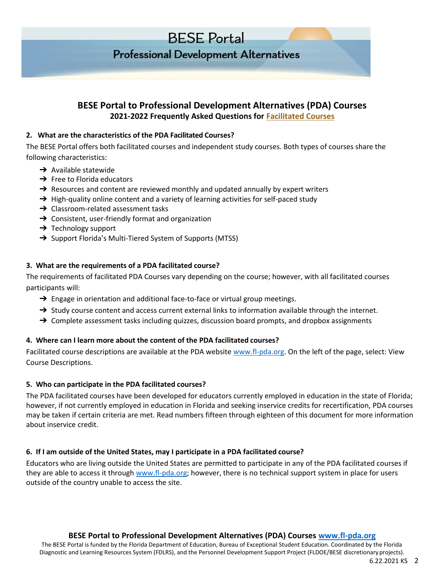# **Professional Development Alternatives**

### **BESE Portal to Professional Development Alternatives (PDA) Courses 2021-2022 Frequently Asked Questions for Facilitated Courses**

#### **2. What are the characteristics of the PDA Facilitated Courses?**

The BESE Portal offers both facilitated courses and independent study courses. Both types of courses share the following characteristics:

- $\rightarrow$  Available statewide
- $\rightarrow$  Free to Florida educators
- $\rightarrow$  Resources and content are reviewed monthly and updated annually by expert writers
- → High-quality online content and a variety of learning activities for self-paced study
- **→** Classroom-related assessment tasks
- $\rightarrow$  Consistent, user-friendly format and organization
- $\rightarrow$  Technology support
- → Support Florida's Multi-Tiered System of Supports (MTSS)

#### **3. What are the requirements of a PDA facilitated course?**

The requirements of facilitated PDA Courses vary depending on the course; however, with all facilitated courses participants will:

- → Engage in orientation and additional face-to-face or virtual group meetings.
- → Study course content and access current external links to information available through the internet.
- → Complete assessment tasks including quizzes, discussion board prompts, and dropbox assignments

#### **4. Where can I learn more about the content of the PDA facilitated courses?**

Facilitated course descriptions are available at the PDA website [www.fl-pda.org.](http://www.fl-pda.org/) On the left of the page, select: View Course Descriptions.

#### **5. Who can participate in the PDA facilitated courses?**

The PDA facilitated courses have been developed for educators currently employed in education in the state of Florida; however, if not currently employed in education in Florida and seeking inservice credits for recertification, PDA courses may be taken if certain criteria are met. Read numbers fifteen through eighteen of this document for more information about inservice credit.

#### **6. If I am outside of the United States, may I participate in a PDA facilitated course?**

Educators who are living outside the United States are permitted to participate in any of the PDA facilitated courses if they are able to access it through [www.fl-pda.org;](http://www.fl-pda.org/) however, there is no technical support system in place for users outside of the country unable to access the site.

#### **BESE Portal to Professional Development Alternatives (PDA) Courses [www.fl-pda.org](http://www.fl-pda.org/)**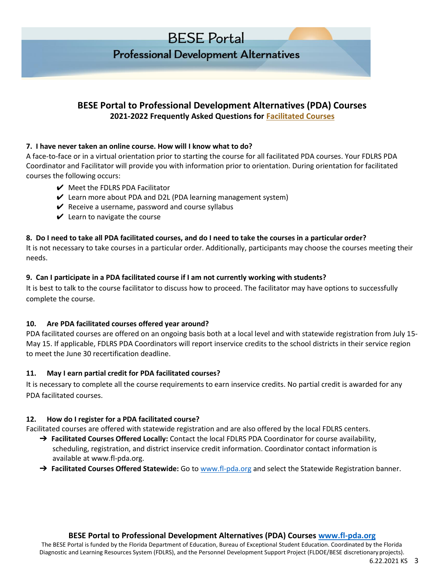# **Professional Development Alternatives**

## **BESE Portal to Professional Development Alternatives (PDA) Courses 2021-2022 Frequently Asked Questions for Facilitated Courses**

#### **7. I have never taken an online course. How will I know what to do?**

A face-to-face or in a virtual orientation prior to starting the course for all facilitated PDA courses. Your FDLRS PDA Coordinator and Facilitator will provide you with information prior to orientation. During orientation for facilitated courses the following occurs:

- $\vee$  Meet the FDLRS PDA Facilitator
- $\vee$  Learn more about PDA and D2L (PDA learning management system)
- $\vee$  Receive a username, password and course syllabus
- $\vee$  Learn to navigate the course

### **8. Do I need to take all PDA facilitated courses, and do I need to take the courses in a particular order?**

It is not necessary to take courses in a particular order. Additionally, participants may choose the courses meeting their needs.

#### **9. Can I participate in a PDA facilitated course if I am not currently working with students?**

It is best to talk to the course facilitator to discuss how to proceed. The facilitator may have options to successfully complete the course.

#### **10. Are PDA facilitated courses offered year around?**

PDA facilitated courses are offered on an ongoing basis both at a local level and with statewide registration from July 15- May 15. If applicable, FDLRS PDA Coordinators will report inservice credits to the school districts in their service region to meet the June 30 recertification deadline.

## **11. May I earn partial credit for PDA facilitated courses?**

It is necessary to complete all the course requirements to earn inservice credits. No partial credit is awarded for any PDA facilitated courses.

## **12. How do I register for a PDA facilitated course?**

Facilitated courses are offered with statewide registration and are also offered by the local FDLRS centers.

- → **Facilitated Courses Offered Locally:** Contact the local FDLRS PDA Coordinator for course availability, scheduling, registration, and district inservice credit information. Coordinator contact information is available at www.fl-pda.org.
- ➔ **Facilitated Courses Offered Statewide:** Go to [www.fl-pda.org a](http://www.fl-pda.org/)nd select the Statewide Registration banner.

## **BESE Portal to Professional Development Alternatives (PDA) Courses [www.fl-pda.org](http://www.fl-pda.org/)**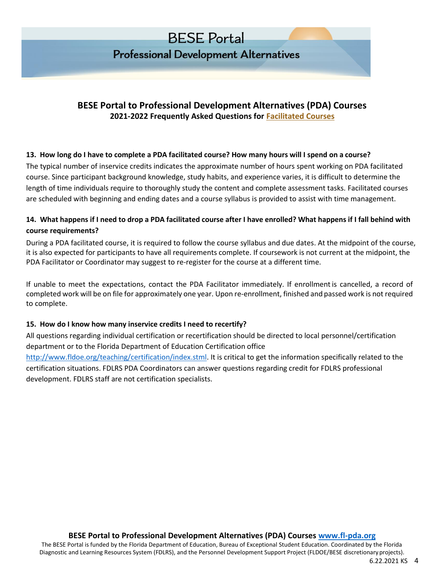**Professional Development Alternatives** 

## **BESE Portal to Professional Development Alternatives (PDA) Courses 2021-2022 Frequently Asked Questions for Facilitated Courses**

#### **13. How long do I have to complete a PDA facilitated course? How many hours will I spend on a course?**

The typical number of inservice credits indicates the approximate number of hours spent working on PDA facilitated course. Since participant background knowledge, study habits, and experience varies, it is difficult to determine the length of time individuals require to thoroughly study the content and complete assessment tasks. Facilitated courses are scheduled with beginning and ending dates and a course syllabus is provided to assist with time management.

### **14. What happens if I need to drop a PDA facilitated course after I have enrolled? What happens if I fall behind with course requirements?**

During a PDA facilitated course, it is required to follow the course syllabus and due dates. At the midpoint of the course, it is also expected for participants to have all requirements complete. If coursework is not current at the midpoint, the PDA Facilitator or Coordinator may suggest to re-register for the course at a different time.

If unable to meet the expectations, contact the PDA Facilitator immediately. If enrollment is cancelled, a record of completed work will be on file for approximately one year. Upon re-enrollment, finished and passed work is not required to complete.

#### **15. How do I know how many inservice credits I need to recertify?**

All questions regarding individual certification or recertification should be directed to local personnel/certification department or to the Florida Department of Education Certification office [http://www.fldoe.org/teaching/certification/index.stml. I](http://www.fldoe.org/teaching/certification/index.stml)t is critical to get the information specifically related to the certification situations. FDLRS PDA Coordinators can answer questions regarding credit for FDLRS professional development. FDLRS staff are not certification specialists.

**BESE Portal to Professional Development Alternatives (PDA) Courses [www.fl-pda.org](http://www.fl-pda.org/)**